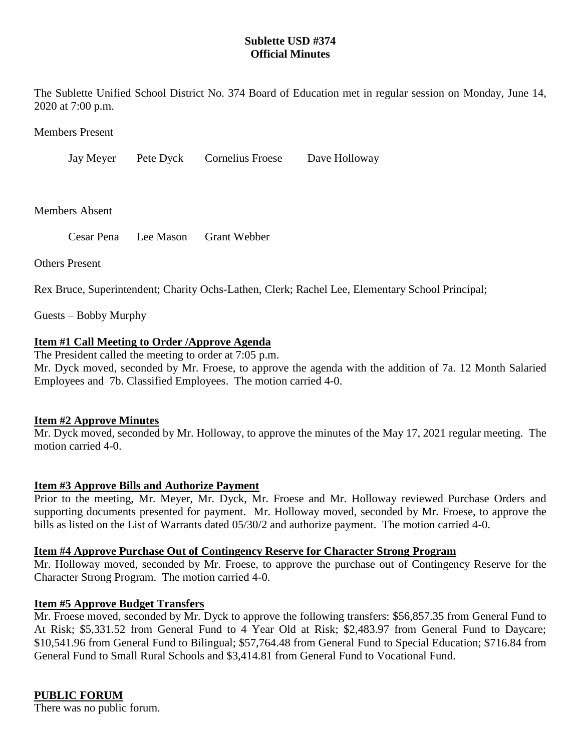# **Sublette USD #374 Official Minutes**

The Sublette Unified School District No. 374 Board of Education met in regular session on Monday, June 14, 2020 at 7:00 p.m.

Members Present

Jay Meyer Pete Dyck Cornelius Froese Dave Holloway

Members Absent

Others Present

Rex Bruce, Superintendent; Charity Ochs-Lathen, Clerk; Rachel Lee, Elementary School Principal;

Guests – Bobby Murphy

### **Item #1 Call Meeting to Order /Approve Agenda**

The President called the meeting to order at 7:05 p.m.

Mr. Dyck moved, seconded by Mr. Froese, to approve the agenda with the addition of 7a. 12 Month Salaried Employees and 7b. Classified Employees. The motion carried 4-0.

#### **Item #2 Approve Minutes**

Mr. Dyck moved, seconded by Mr. Holloway, to approve the minutes of the May 17, 2021 regular meeting. The motion carried 4-0.

# **Item #3 Approve Bills and Authorize Payment**

Prior to the meeting, Mr. Meyer, Mr. Dyck, Mr. Froese and Mr. Holloway reviewed Purchase Orders and supporting documents presented for payment. Mr. Holloway moved, seconded by Mr. Froese, to approve the bills as listed on the List of Warrants dated 05/30/2 and authorize payment. The motion carried 4-0.

### **Item #4 Approve Purchase Out of Contingency Reserve for Character Strong Program**

Mr. Holloway moved, seconded by Mr. Froese, to approve the purchase out of Contingency Reserve for the Character Strong Program. The motion carried 4-0.

#### **Item #5 Approve Budget Transfers**

Mr. Froese moved, seconded by Mr. Dyck to approve the following transfers: \$56,857.35 from General Fund to At Risk; \$5,331.52 from General Fund to 4 Year Old at Risk; \$2,483.97 from General Fund to Daycare; \$10,541.96 from General Fund to Bilingual; \$57,764.48 from General Fund to Special Education; \$716.84 from General Fund to Small Rural Schools and \$3,414.81 from General Fund to Vocational Fund.

# **PUBLIC FORUM**

There was no public forum.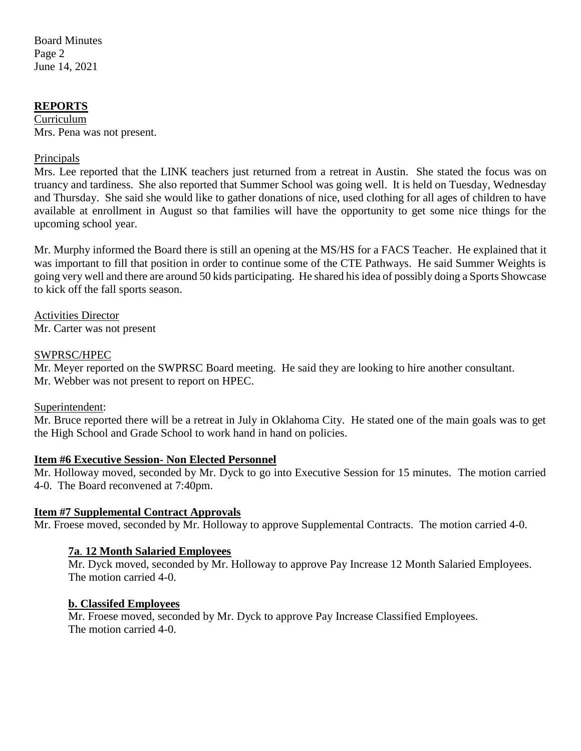Board Minutes Page 2 June 14, 2021

# **REPORTS**

Curriculum Mrs. Pena was not present.

# Principals

Mrs. Lee reported that the LINK teachers just returned from a retreat in Austin. She stated the focus was on truancy and tardiness. She also reported that Summer School was going well. It is held on Tuesday, Wednesday and Thursday. She said she would like to gather donations of nice, used clothing for all ages of children to have available at enrollment in August so that families will have the opportunity to get some nice things for the upcoming school year.

Mr. Murphy informed the Board there is still an opening at the MS/HS for a FACS Teacher. He explained that it was important to fill that position in order to continue some of the CTE Pathways. He said Summer Weights is going very well and there are around 50 kids participating. He shared his idea of possibly doing a Sports Showcase to kick off the fall sports season.

Activities Director Mr. Carter was not present

### SWPRSC/HPEC

Mr. Meyer reported on the SWPRSC Board meeting. He said they are looking to hire another consultant. Mr. Webber was not present to report on HPEC.

#### Superintendent:

Mr. Bruce reported there will be a retreat in July in Oklahoma City. He stated one of the main goals was to get the High School and Grade School to work hand in hand on policies.

#### **Item #6 Executive Session- Non Elected Personnel**

Mr. Holloway moved, seconded by Mr. Dyck to go into Executive Session for 15 minutes. The motion carried 4-0. The Board reconvened at 7:40pm.

#### **Item #7 Supplemental Contract Approvals**

Mr. Froese moved, seconded by Mr. Holloway to approve Supplemental Contracts. The motion carried 4-0.

# **7a**. **12 Month Salaried Employees**

Mr. Dyck moved, seconded by Mr. Holloway to approve Pay Increase 12 Month Salaried Employees. The motion carried 4-0.

#### **b. Classifed Employees**

Mr. Froese moved, seconded by Mr. Dyck to approve Pay Increase Classified Employees. The motion carried 4-0.